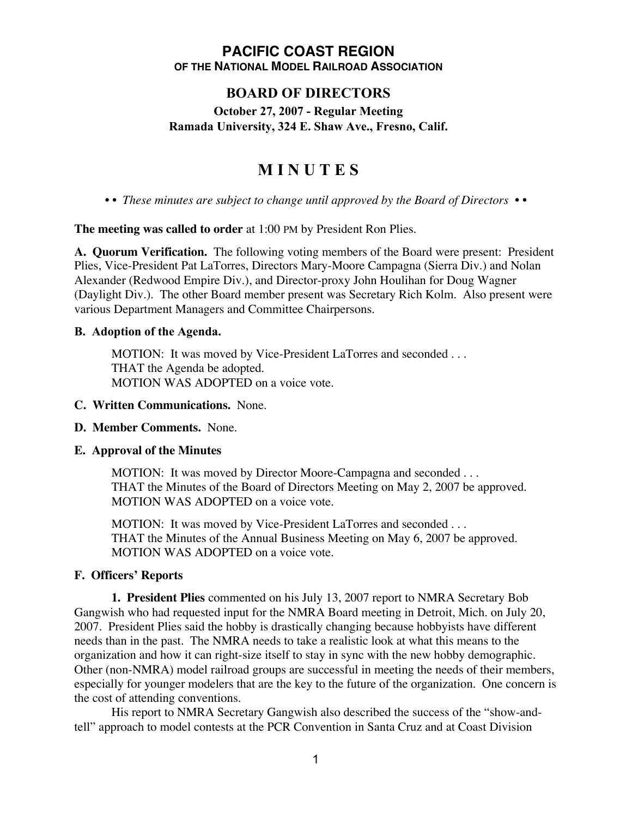## **PACIFIC COAST REGION OF THE NATIONAL MODEL RAILROAD ASSOCIATION**

# **BOARD OF DIRECTORS**

# **October 27, 2007 - Regular Meeting Ramada University, 324 E. Shaw Ave., Fresno, Calif.**

# **M I N U T E S**

*• • These minutes are subject to change until approved by the Board of Directors • •*

**The meeting was called to order** at 1:00 PM by President Ron Plies.

**A. Quorum Verification.** The following voting members of the Board were present: President Plies, Vice-President Pat LaTorres, Directors Mary-Moore Campagna (Sierra Div.) and Nolan Alexander (Redwood Empire Div.), and Director-proxy John Houlihan for Doug Wagner (Daylight Div.). The other Board member present was Secretary Rich Kolm. Also present were various Department Managers and Committee Chairpersons.

## **B. Adoption of the Agenda.**

MOTION: It was moved by Vice-President LaTorres and seconded . . . THAT the Agenda be adopted. MOTION WAS ADOPTED on a voice vote.

## **C. Written Communications.** None.

## **D. Member Comments.** None.

#### **E. Approval of the Minutes**

MOTION: It was moved by Director Moore-Campagna and seconded . . . THAT the Minutes of the Board of Directors Meeting on May 2, 2007 be approved. MOTION WAS ADOPTED on a voice vote.

MOTION: It was moved by Vice-President LaTorres and seconded . . . THAT the Minutes of the Annual Business Meeting on May 6, 2007 be approved. MOTION WAS ADOPTED on a voice vote.

## **F. Officers' Reports**

**1. President Plies** commented on his July 13, 2007 report to NMRA Secretary Bob Gangwish who had requested input for the NMRA Board meeting in Detroit, Mich. on July 20, 2007. President Plies said the hobby is drastically changing because hobbyists have different needs than in the past. The NMRA needs to take a realistic look at what this means to the organization and how it can right-size itself to stay in sync with the new hobby demographic. Other (non-NMRA) model railroad groups are successful in meeting the needs of their members, especially for younger modelers that are the key to the future of the organization. One concern is the cost of attending conventions.

His report to NMRA Secretary Gangwish also described the success of the "show-andtell" approach to model contests at the PCR Convention in Santa Cruz and at Coast Division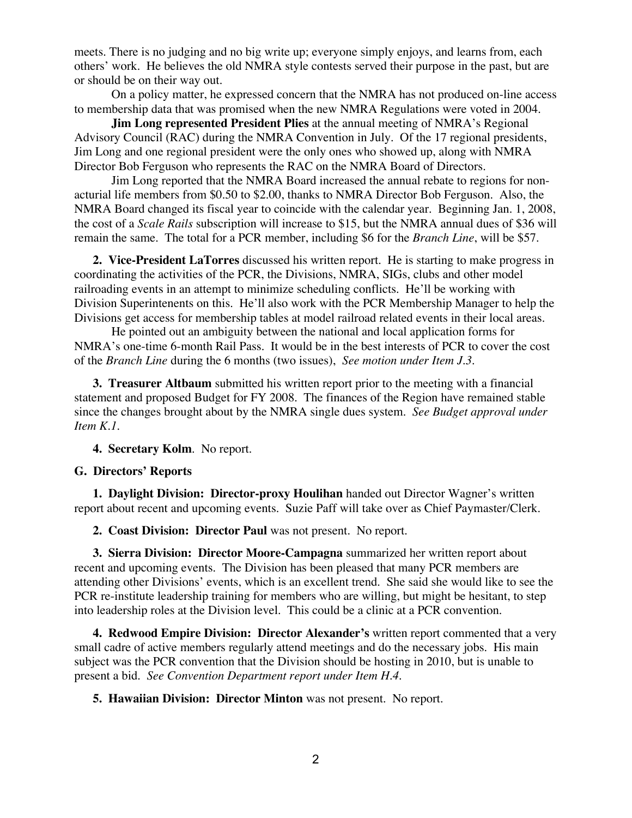meets. There is no judging and no big write up; everyone simply enjoys, and learns from, each others' work. He believes the old NMRA style contests served their purpose in the past, but are or should be on their way out.

On a policy matter, he expressed concern that the NMRA has not produced on-line access to membership data that was promised when the new NMRA Regulations were voted in 2004.

**Jim Long represented President Plies** at the annual meeting of NMRA's Regional Advisory Council (RAC) during the NMRA Convention in July. Of the 17 regional presidents, Jim Long and one regional president were the only ones who showed up, along with NMRA Director Bob Ferguson who represents the RAC on the NMRA Board of Directors.

Jim Long reported that the NMRA Board increased the annual rebate to regions for nonacturial life members from \$0.50 to \$2.00, thanks to NMRA Director Bob Ferguson. Also, the NMRA Board changed its fiscal year to coincide with the calendar year. Beginning Jan. 1, 2008, the cost of a *Scale Rails* subscription will increase to \$15, but the NMRA annual dues of \$36 will remain the same. The total for a PCR member, including \$6 for the *Branch Line*, will be \$57.

**2. Vice-President LaTorres** discussed his written report. He is starting to make progress in coordinating the activities of the PCR, the Divisions, NMRA, SIGs, clubs and other model railroading events in an attempt to minimize scheduling conflicts. He'll be working with Division Superintenents on this. He'll also work with the PCR Membership Manager to help the Divisions get access for membership tables at model railroad related events in their local areas.

He pointed out an ambiguity between the national and local application forms for NMRA's one-time 6-month Rail Pass. It would be in the best interests of PCR to cover the cost of the *Branch Line* during the 6 months (two issues), *See motion under Item J.3.*

**3. Treasurer Altbaum** submitted his written report prior to the meeting with a financial statement and proposed Budget for FY 2008. The finances of the Region have remained stable since the changes brought about by the NMRA single dues system. *See Budget approval under Item K.1.*

**4. Secretary Kolm**. No report.

#### **G. Directors' Reports**

**1. Daylight Division: Director-proxy Houlihan** handed out Director Wagner's written report about recent and upcoming events. Suzie Paff will take over as Chief Paymaster/Clerk.

**2. Coast Division: Director Paul** was not present. No report.

**3. Sierra Division: Director Moore-Campagna** summarized her written report about recent and upcoming events. The Division has been pleased that many PCR members are attending other Divisions' events, which is an excellent trend. She said she would like to see the PCR re-institute leadership training for members who are willing, but might be hesitant, to step into leadership roles at the Division level. This could be a clinic at a PCR convention.

**4. Redwood Empire Division: Director Alexander's** written report commented that a very small cadre of active members regularly attend meetings and do the necessary jobs. His main subject was the PCR convention that the Division should be hosting in 2010, but is unable to present a bid. *See Convention Department report under Item H.4.*

**5. Hawaiian Division: Director Minton** was not present. No report.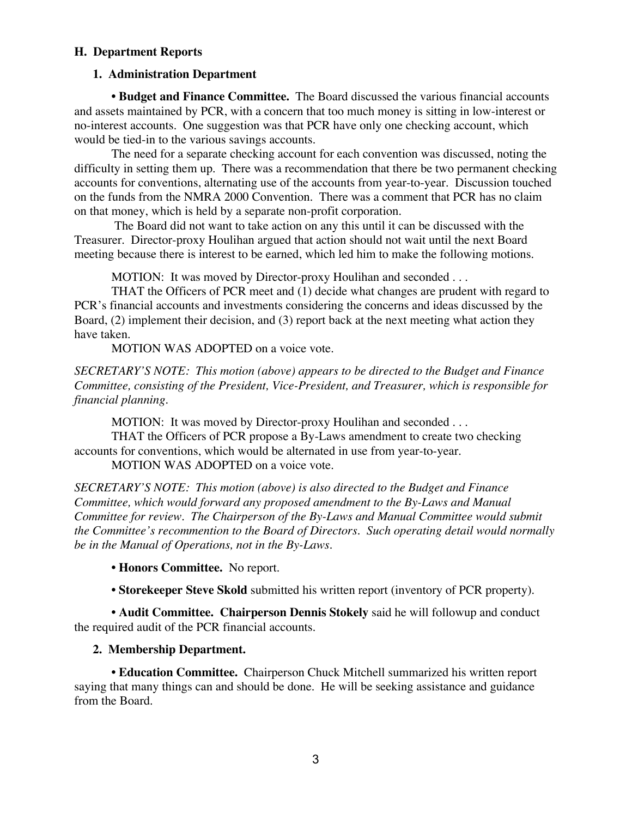## **H. Department Reports**

# **1. Administration Department**

**• Budget and Finance Committee.** The Board discussed the various financial accounts and assets maintained by PCR, with a concern that too much money is sitting in low-interest or no-interest accounts. One suggestion was that PCR have only one checking account, which would be tied-in to the various savings accounts.

The need for a separate checking account for each convention was discussed, noting the difficulty in setting them up. There was a recommendation that there be two permanent checking accounts for conventions, alternating use of the accounts from year-to-year. Discussion touched on the funds from the NMRA 2000 Convention. There was a comment that PCR has no claim on that money, which is held by a separate non-profit corporation.

 The Board did not want to take action on any this until it can be discussed with the Treasurer. Director-proxy Houlihan argued that action should not wait until the next Board meeting because there is interest to be earned, which led him to make the following motions.

MOTION: It was moved by Director-proxy Houlihan and seconded . . .

THAT the Officers of PCR meet and (1) decide what changes are prudent with regard to PCR's financial accounts and investments considering the concerns and ideas discussed by the Board, (2) implement their decision, and (3) report back at the next meeting what action they have taken.

MOTION WAS ADOPTED on a voice vote.

*SECRETARY'S NOTE: This motion (above) appears to be directed to the Budget and Finance Committee, consisting of the President, Vice-President, and Treasurer, which is responsible for financial planning.*

MOTION: It was moved by Director-proxy Houlihan and seconded . . .

THAT the Officers of PCR propose a By-Laws amendment to create two checking accounts for conventions, which would be alternated in use from year-to-year.

MOTION WAS ADOPTED on a voice vote.

*SECRETARY'S NOTE: This motion (above) is also directed to the Budget and Finance Committee, which would forward any proposed amendment to the By-Laws and Manual Committee for review. The Chairperson of the By-Laws and Manual Committee would submit the Committee's recommention to the Board of Directors. Such operating detail would normally be in the Manual of Operations, not in the By-Laws.*

**• Honors Committee.** No report.

**• Storekeeper Steve Skold** submitted his written report (inventory of PCR property).

**• Audit Committee. Chairperson Dennis Stokely** said he will followup and conduct the required audit of the PCR financial accounts.

# **2. Membership Department.**

**• Education Committee.** Chairperson Chuck Mitchell summarized his written report saying that many things can and should be done. He will be seeking assistance and guidance from the Board.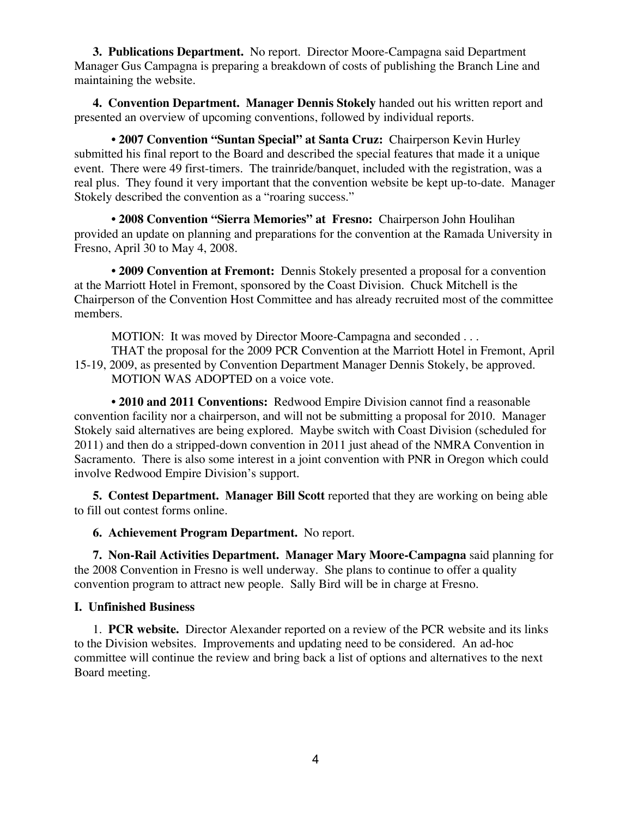**3. Publications Department.** No report. Director Moore-Campagna said Department Manager Gus Campagna is preparing a breakdown of costs of publishing the Branch Line and maintaining the website.

**4. Convention Department. Manager Dennis Stokely** handed out his written report and presented an overview of upcoming conventions, followed by individual reports.

• **2007 Convention "Suntan Special" at Santa Cruz:** Chairperson Kevin Hurley submitted his final report to the Board and described the special features that made it a unique event. There were 49 first-timers. The trainride/banquet, included with the registration, was a real plus. They found it very important that the convention website be kept up-to-date. Manager Stokely described the convention as a "roaring success."

• **2008 Convention "Sierra Memories" at Fresno:** Chairperson John Houlihan provided an update on planning and preparations for the convention at the Ramada University in Fresno, April 30 to May 4, 2008.

**• 2009 Convention at Fremont:** Dennis Stokely presented a proposal for a convention at the Marriott Hotel in Fremont, sponsored by the Coast Division. Chuck Mitchell is the Chairperson of the Convention Host Committee and has already recruited most of the committee members.

MOTION: It was moved by Director Moore-Campagna and seconded . . .

THAT the proposal for the 2009 PCR Convention at the Marriott Hotel in Fremont, April 15-19, 2009, as presented by Convention Department Manager Dennis Stokely, be approved. MOTION WAS ADOPTED on a voice vote.

• **2010 and 2011 Conventions:** Redwood Empire Division cannot find a reasonable convention facility nor a chairperson, and will not be submitting a proposal for 2010. Manager Stokely said alternatives are being explored. Maybe switch with Coast Division (scheduled for 2011) and then do a stripped-down convention in 2011 just ahead of the NMRA Convention in Sacramento. There is also some interest in a joint convention with PNR in Oregon which could involve Redwood Empire Division's support.

**5. Contest Department. Manager Bill Scott** reported that they are working on being able to fill out contest forms online.

**6. Achievement Program Department.** No report.

**7. Non-Rail Activities Department. Manager Mary Moore-Campagna** said planning for the 2008 Convention in Fresno is well underway. She plans to continue to offer a quality convention program to attract new people. Sally Bird will be in charge at Fresno.

#### **I. Unfinished Business**

1. **PCR website.** Director Alexander reported on a review of the PCR website and its links to the Division websites. Improvements and updating need to be considered. An ad-hoc committee will continue the review and bring back a list of options and alternatives to the next Board meeting.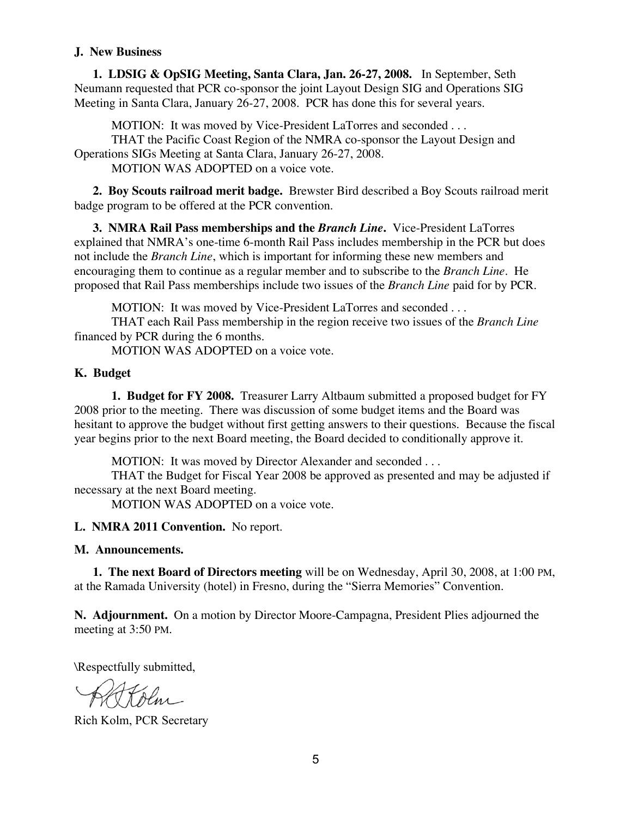## **J. New Business**

**1. LDSIG & OpSIG Meeting, Santa Clara, Jan. 26-27, 2008.** In September, Seth Neumann requested that PCR co-sponsor the joint Layout Design SIG and Operations SIG Meeting in Santa Clara, January 26-27, 2008. PCR has done this for several years.

MOTION: It was moved by Vice-President LaTorres and seconded . . .

THAT the Pacific Coast Region of the NMRA co-sponsor the Layout Design and Operations SIGs Meeting at Santa Clara, January 26-27, 2008.

MOTION WAS ADOPTED on a voice vote.

**2. Boy Scouts railroad merit badge.** Brewster Bird described a Boy Scouts railroad merit badge program to be offered at the PCR convention.

**3. NMRA Rail Pass memberships and the** *Branch Line***.** Vice-President LaTorres explained that NMRA's one-time 6-month Rail Pass includes membership in the PCR but does not include the *Branch Line*, which is important for informing these new members and encouraging them to continue as a regular member and to subscribe to the *Branch Line*. He proposed that Rail Pass memberships include two issues of the *Branch Line* paid for by PCR.

MOTION: It was moved by Vice-President LaTorres and seconded . . .

THAT each Rail Pass membership in the region receive two issues of the *Branch Line* financed by PCR during the 6 months.

MOTION WAS ADOPTED on a voice vote.

## **K. Budget**

**1. Budget for FY 2008.** Treasurer Larry Altbaum submitted a proposed budget for FY 2008 prior to the meeting. There was discussion of some budget items and the Board was hesitant to approve the budget without first getting answers to their questions. Because the fiscal year begins prior to the next Board meeting, the Board decided to conditionally approve it.

MOTION: It was moved by Director Alexander and seconded . . .

THAT the Budget for Fiscal Year 2008 be approved as presented and may be adjusted if necessary at the next Board meeting.

MOTION WAS ADOPTED on a voice vote.

**L. NMRA 2011 Convention.** No report.

#### **M. Announcements.**

**1. The next Board of Directors meeting** will be on Wednesday, April 30, 2008, at 1:00 PM, at the Ramada University (hotel) in Fresno, during the "Sierra Memories" Convention.

**N. Adjournment.** On a motion by Director Moore-Campagna, President Plies adjourned the meeting at 3:50 PM.

\Respectfully submitted,

Rich Kolm, PCR Secretary